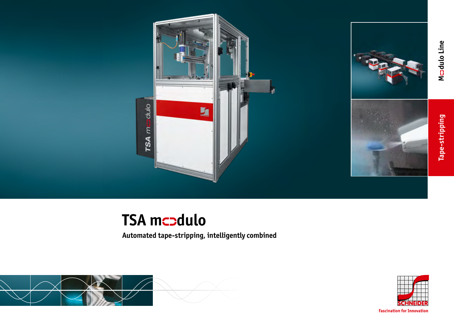



Mcodulo Line **dulo Line**

**Tape-stripping**

Tape-stripping

# **TSA mcodulo**

**Automated tape-stripping, intelligently combined**





**Fascination for Innovation**